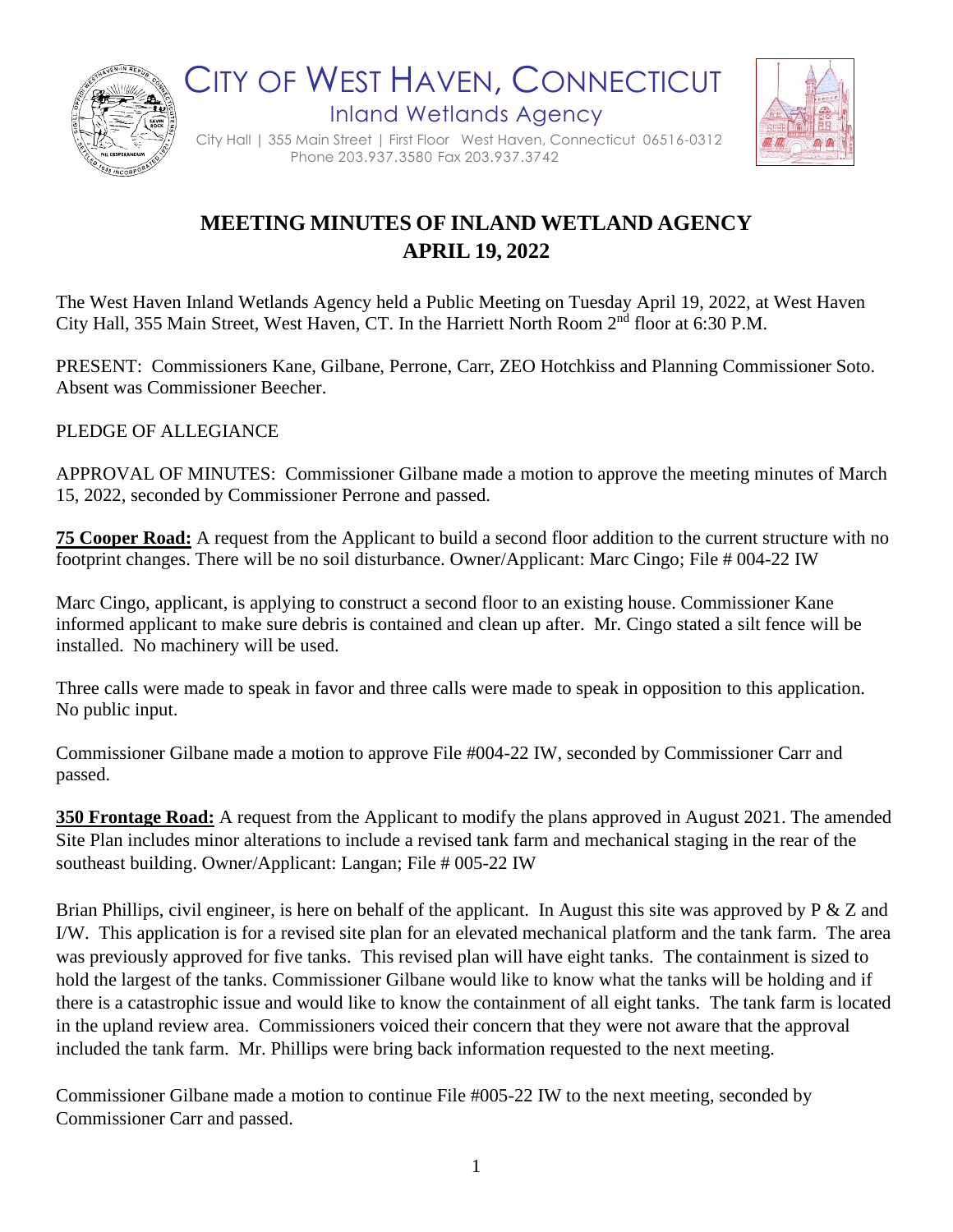

CITY OF WEST HAVEN, CONNECTICUT Inland Wetlands Agency



City Hall | 355 Main Street | First Floor West Haven, Connecticut 06516-0312 Phone 203.937.3580 Fax 203.937.3742

## **MEETING MINUTES OF INLAND WETLAND AGENCY APRIL 19, 2022**

The West Haven Inland Wetlands Agency held a Public Meeting on Tuesday April 19, 2022, at West Haven City Hall, 355 Main Street, West Haven, CT. In the Harriett North Room 2nd floor at 6:30 P.M.

PRESENT: Commissioners Kane, Gilbane, Perrone, Carr, ZEO Hotchkiss and Planning Commissioner Soto. Absent was Commissioner Beecher.

PLEDGE OF ALLEGIANCE

APPROVAL OF MINUTES: Commissioner Gilbane made a motion to approve the meeting minutes of March 15, 2022, seconded by Commissioner Perrone and passed.

**75 Cooper Road:** A request from the Applicant to build a second floor addition to the current structure with no footprint changes. There will be no soil disturbance. Owner/Applicant: Marc Cingo; File # 004-22 IW

Marc Cingo, applicant, is applying to construct a second floor to an existing house. Commissioner Kane informed applicant to make sure debris is contained and clean up after. Mr. Cingo stated a silt fence will be installed. No machinery will be used.

Three calls were made to speak in favor and three calls were made to speak in opposition to this application. No public input.

Commissioner Gilbane made a motion to approve File #004-22 IW, seconded by Commissioner Carr and passed.

**350 Frontage Road:** A request from the Applicant to modify the plans approved in August 2021. The amended Site Plan includes minor alterations to include a revised tank farm and mechanical staging in the rear of the southeast building. Owner/Applicant: Langan; File # 005-22 IW

Brian Phillips, civil engineer, is here on behalf of the applicant. In August this site was approved by P & Z and I/W. This application is for a revised site plan for an elevated mechanical platform and the tank farm. The area was previously approved for five tanks. This revised plan will have eight tanks. The containment is sized to hold the largest of the tanks. Commissioner Gilbane would like to know what the tanks will be holding and if there is a catastrophic issue and would like to know the containment of all eight tanks. The tank farm is located in the upland review area. Commissioners voiced their concern that they were not aware that the approval included the tank farm. Mr. Phillips were bring back information requested to the next meeting.

Commissioner Gilbane made a motion to continue File #005-22 IW to the next meeting, seconded by Commissioner Carr and passed.